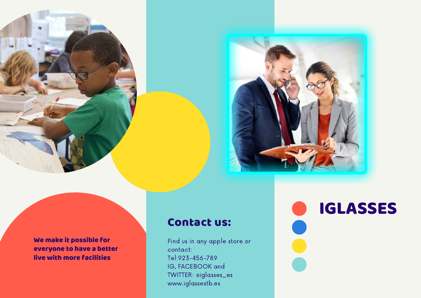



We make it possible for everyone to have a better live with more facilities

#### Contact us:

Find us in any apple store or contact: Tel:923-456-789 IG, FACEBOOK a n d TWITTER: eiglasses\_es www.iglassestb.es

**IGLASSES**